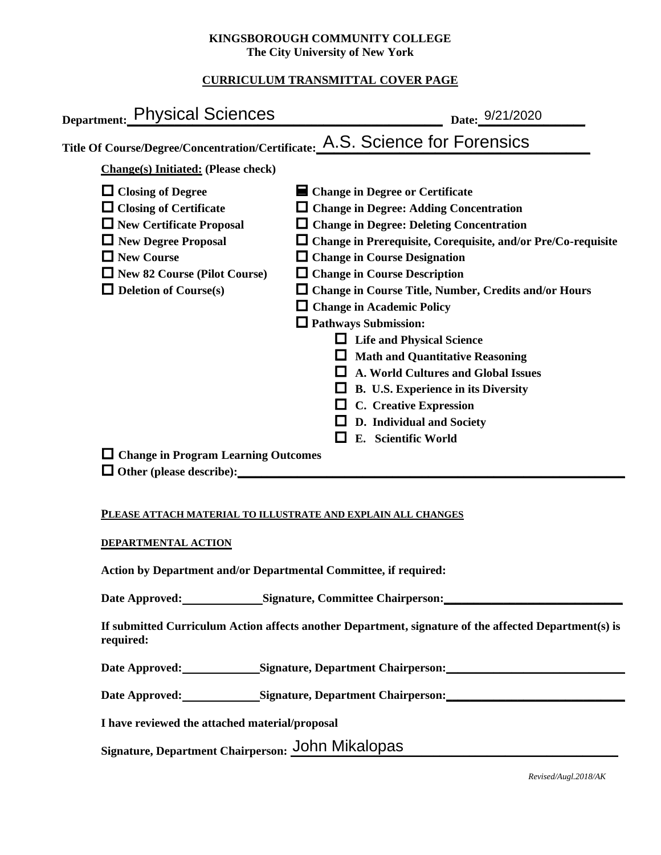## **KINGSBOROUGH COMMUNITY COLLEGE The City University of New York**

# **CURRICULUM TRANSMITTAL COVER PAGE**

| Date: 9/21/2020                                                                                                                                                                                                                                                                                                                                                                                                                                                                                                                                                                                                                                                                                                             |
|-----------------------------------------------------------------------------------------------------------------------------------------------------------------------------------------------------------------------------------------------------------------------------------------------------------------------------------------------------------------------------------------------------------------------------------------------------------------------------------------------------------------------------------------------------------------------------------------------------------------------------------------------------------------------------------------------------------------------------|
| Title Of Course/Degree/Concentration/Certificate: A.S. Science for Forensics                                                                                                                                                                                                                                                                                                                                                                                                                                                                                                                                                                                                                                                |
|                                                                                                                                                                                                                                                                                                                                                                                                                                                                                                                                                                                                                                                                                                                             |
| ■ Change in Degree or Certificate<br>$\Box$ Change in Degree: Adding Concentration<br>$\Box$ Change in Degree: Deleting Concentration<br>$\Box$ Change in Prerequisite, Corequisite, and/or Pre/Co-requisite<br>$\Box$ Change in Course Designation<br>$\Box$ Change in Course Description<br>$\Box$ Change in Course Title, Number, Credits and/or Hours<br>$\Box$ Change in Academic Policy<br>$\Box$ Pathways Submission:<br>$\Box$ Life and Physical Science<br><b>Math and Quantitative Reasoning</b><br>A. World Cultures and Global Issues<br>B. U.S. Experience in its Diversity<br><b>C.</b> Creative Expression<br>D. Individual and Society<br>E. Scientific World<br>$\Box$ Change in Program Learning Outcomes |
|                                                                                                                                                                                                                                                                                                                                                                                                                                                                                                                                                                                                                                                                                                                             |

### **PLEASE ATTACH MATERIAL TO ILLUSTRATE AND EXPLAIN ALL CHANGES**

### **DEPARTMENTAL ACTION**

**Action by Department and/or Departmental Committee, if required:**

Date Approved: Signature, Committee Chairperson:

**If submitted Curriculum Action affects another Department, signature of the affected Department(s) is required:**

Date Approved: Signature, Department Chairperson:

Date Approved: Signature, Department Chairperson: Networking the Approved: Networking State Approved:

**I have reviewed the attached material/proposal**

Signature, Department Chairperson: John Mikalopas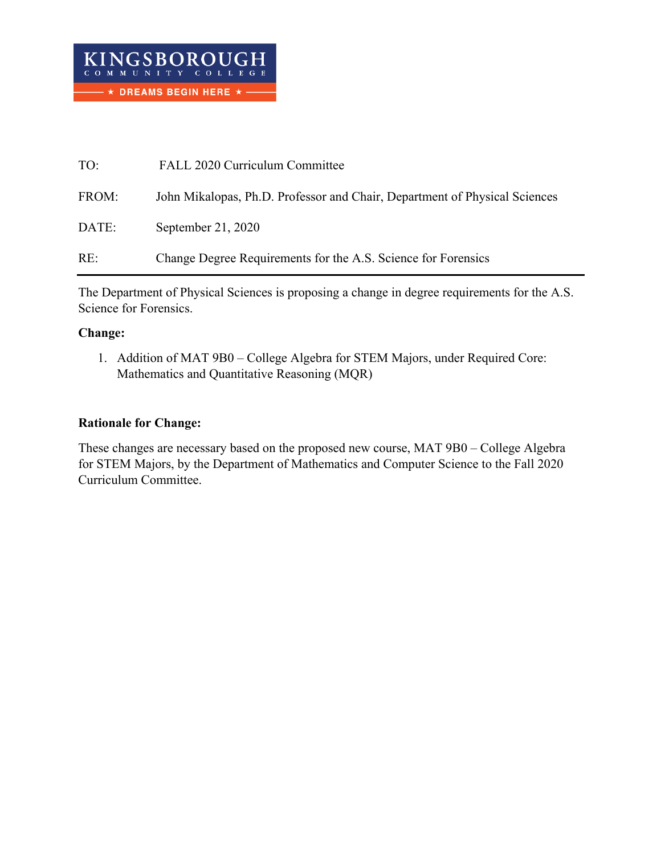| TO:   | FALL 2020 Curriculum Committee                                             |
|-------|----------------------------------------------------------------------------|
| FROM: | John Mikalopas, Ph.D. Professor and Chair, Department of Physical Sciences |
| DATE: | September 21, 2020                                                         |
| RE:   | Change Degree Requirements for the A.S. Science for Forensics              |

The Department of Physical Sciences is proposing a change in degree requirements for the A.S. Science for Forensics.

## **Change:**

1. Addition of MAT 9B0 – College Algebra for STEM Majors, under Required Core: Mathematics and Quantitative Reasoning (MQR)

# **Rationale for Change:**

These changes are necessary based on the proposed new course, MAT 9B0 – College Algebra for STEM Majors, by the Department of Mathematics and Computer Science to the Fall 2020 Curriculum Committee.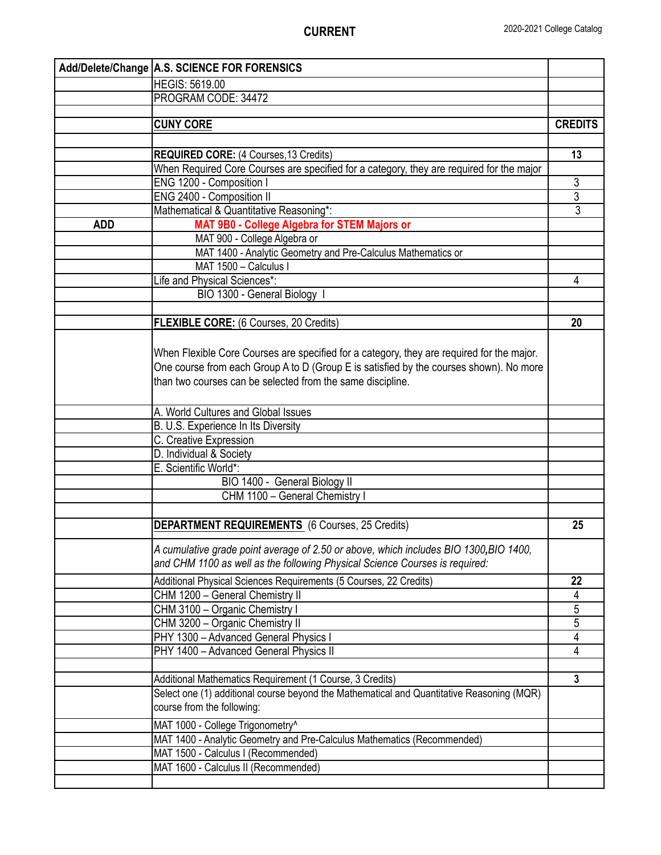|            | Add/Delete/Change   A.S. SCIENCE FOR FORENSICS                                            |                |
|------------|-------------------------------------------------------------------------------------------|----------------|
|            | <b>HEGIS: 5619.00</b>                                                                     |                |
|            | PROGRAM CODE: 34472                                                                       |                |
|            |                                                                                           |                |
|            | <b>CUNY CORE</b>                                                                          | <b>CREDITS</b> |
|            |                                                                                           |                |
|            | <b>REQUIRED CORE: (4 Courses, 13 Credits)</b>                                             | 13             |
|            | When Required Core Courses are specified for a category, they are required for the major  |                |
|            | ENG 1200 - Composition I                                                                  | 3              |
|            | ENG 2400 - Composition II                                                                 | $\overline{3}$ |
|            | Mathematical & Quantitative Reasoning*:                                                   | $\overline{3}$ |
| <b>ADD</b> | MAT 9B0 - College Algebra for STEM Majors or                                              |                |
|            | MAT 900 - College Algebra or                                                              |                |
|            | MAT 1400 - Analytic Geometry and Pre-Calculus Mathematics or                              |                |
|            | MAT 1500 - Calculus I                                                                     |                |
|            | Life and Physical Sciences*:                                                              | 4              |
|            | BIO 1300 - General Biology I                                                              |                |
|            | <b>FLEXIBLE CORE:</b> (6 Courses, 20 Credits)                                             | 20             |
|            |                                                                                           |                |
|            |                                                                                           |                |
|            | When Flexible Core Courses are specified for a category, they are required for the major. |                |
|            | One course from each Group A to D (Group E is satisfied by the courses shown). No more    |                |
|            | than two courses can be selected from the same discipline.                                |                |
|            |                                                                                           |                |
|            | A. World Cultures and Global Issues                                                       |                |
|            | B. U.S. Experience In Its Diversity                                                       |                |
|            | C. Creative Expression<br>D. Individual & Society                                         |                |
|            | E. Scientific World*:                                                                     |                |
|            | BIO 1400 - General Biology II                                                             |                |
|            | CHM 1100 - General Chemistry I                                                            |                |
|            |                                                                                           |                |
|            | <b>DEPARTMENT REQUIREMENTS</b> (6 Courses, 25 Credits)                                    | 25             |
|            |                                                                                           |                |
|            | A cumulative grade point average of 2.50 or above, which includes BIO 1300, BIO 1400,     |                |
|            | and CHM 1100 as well as the following Physical Science Courses is required:               |                |
|            | Additional Physical Sciences Requirements (5 Courses, 22 Credits)                         | 22             |
|            | CHM 1200 - General Chemistry II                                                           | 4              |
|            | CHM 3100 - Organic Chemistry I                                                            | 5              |
|            | CHM 3200 - Organic Chemistry II                                                           | $\overline{5}$ |
|            | PHY 1300 - Advanced General Physics I                                                     | 4              |
|            | PHY 1400 - Advanced General Physics II                                                    | $\overline{4}$ |
|            |                                                                                           |                |
|            | Additional Mathematics Requirement (1 Course, 3 Credits)                                  | $\mathbf{3}$   |
|            | Select one (1) additional course beyond the Mathematical and Quantitative Reasoning (MQR) |                |
|            | course from the following:                                                                |                |
|            | MAT 1000 - College Trigonometry^                                                          |                |
|            | MAT 1400 - Analytic Geometry and Pre-Calculus Mathematics (Recommended)                   |                |
|            | MAT 1500 - Calculus I (Recommended)                                                       |                |
|            | MAT 1600 - Calculus II (Recommended)                                                      |                |
|            |                                                                                           |                |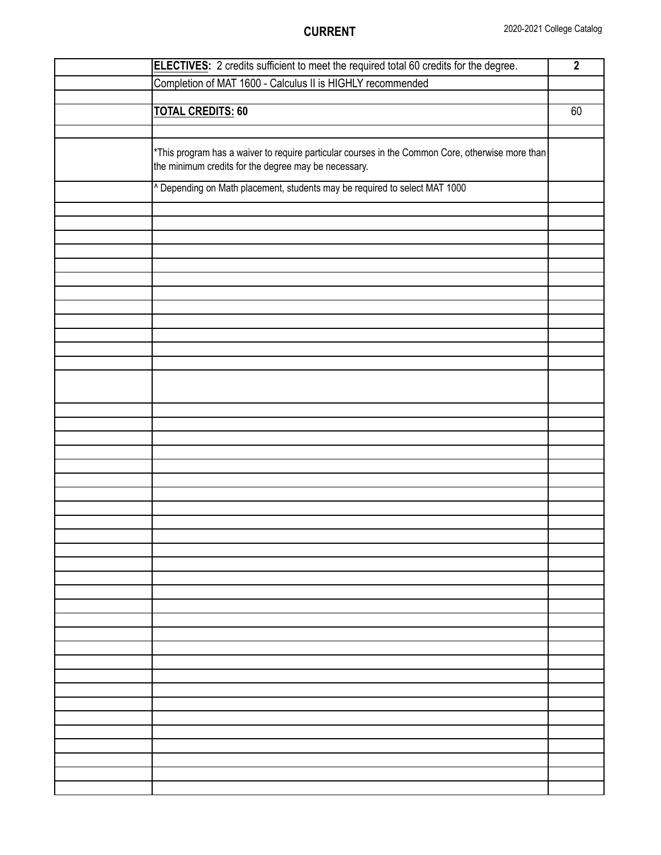| ELECTIVES: 2 credits sufficient to meet the required total 60 credits for the degree.                                                                    | $\overline{2}$ |
|----------------------------------------------------------------------------------------------------------------------------------------------------------|----------------|
| Completion of MAT 1600 - Calculus II is HIGHLY recommended                                                                                               |                |
|                                                                                                                                                          |                |
| <b>TOTAL CREDITS: 60</b>                                                                                                                                 | 60             |
|                                                                                                                                                          |                |
|                                                                                                                                                          |                |
| *This program has a waiver to require particular courses in the Common Core, otherwise more than<br>the minimum credits for the degree may be necessary. |                |
| ^ Depending on Math placement, students may be required to select MAT 1000                                                                               |                |
|                                                                                                                                                          |                |
|                                                                                                                                                          |                |
|                                                                                                                                                          |                |
|                                                                                                                                                          |                |
|                                                                                                                                                          |                |
|                                                                                                                                                          |                |
|                                                                                                                                                          |                |
|                                                                                                                                                          |                |
|                                                                                                                                                          |                |
|                                                                                                                                                          |                |
|                                                                                                                                                          |                |
|                                                                                                                                                          |                |
|                                                                                                                                                          |                |
|                                                                                                                                                          |                |
|                                                                                                                                                          |                |
|                                                                                                                                                          |                |
|                                                                                                                                                          |                |
|                                                                                                                                                          |                |
|                                                                                                                                                          |                |
|                                                                                                                                                          |                |
|                                                                                                                                                          |                |
|                                                                                                                                                          |                |
|                                                                                                                                                          |                |
|                                                                                                                                                          |                |
|                                                                                                                                                          |                |
|                                                                                                                                                          |                |
|                                                                                                                                                          |                |
|                                                                                                                                                          |                |
|                                                                                                                                                          |                |
|                                                                                                                                                          |                |
|                                                                                                                                                          |                |
|                                                                                                                                                          |                |
|                                                                                                                                                          |                |
|                                                                                                                                                          |                |
|                                                                                                                                                          |                |
|                                                                                                                                                          |                |
|                                                                                                                                                          |                |
|                                                                                                                                                          |                |
|                                                                                                                                                          |                |
|                                                                                                                                                          |                |
|                                                                                                                                                          |                |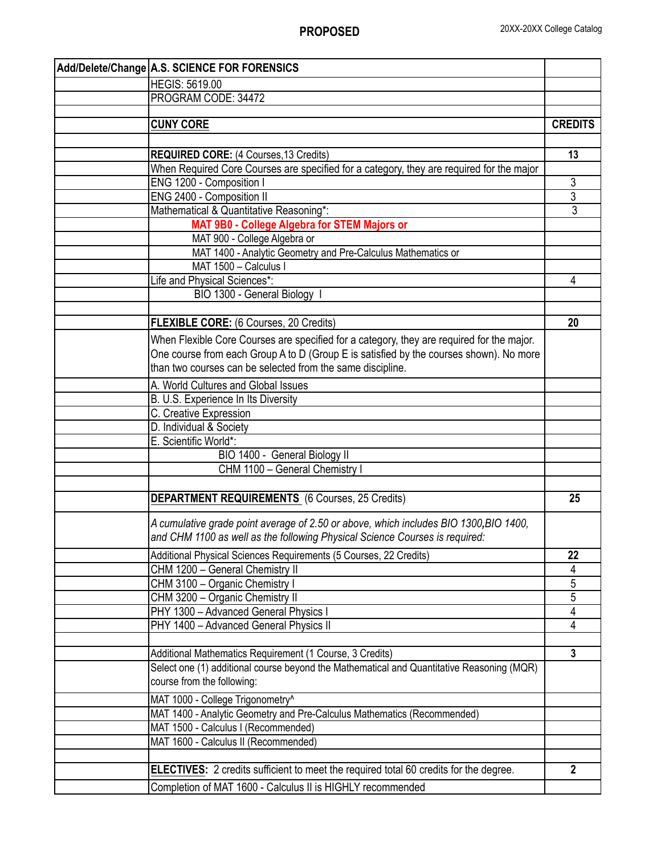| Add/Delete/Change A.S. SCIENCE FOR FORENSICS                                                                                                                         |                |
|----------------------------------------------------------------------------------------------------------------------------------------------------------------------|----------------|
| <b>HEGIS: 5619.00</b>                                                                                                                                                |                |
| PROGRAM CODE: 34472                                                                                                                                                  |                |
|                                                                                                                                                                      |                |
| <b>CUNY CORE</b>                                                                                                                                                     | <b>CREDITS</b> |
|                                                                                                                                                                      |                |
| <b>REQUIRED CORE:</b> (4 Courses, 13 Credits)                                                                                                                        | 13             |
| When Required Core Courses are specified for a category, they are required for the major                                                                             |                |
| ENG 1200 - Composition I                                                                                                                                             | 3              |
| ENG 2400 - Composition II                                                                                                                                            | $\overline{3}$ |
| Mathematical & Quantitative Reasoning*:                                                                                                                              | 3              |
| MAT 9B0 - College Algebra for STEM Majors or                                                                                                                         |                |
| MAT 900 - College Algebra or                                                                                                                                         |                |
| MAT 1400 - Analytic Geometry and Pre-Calculus Mathematics or                                                                                                         |                |
| MAT 1500 - Calculus I                                                                                                                                                |                |
| Life and Physical Sciences*:                                                                                                                                         | 4              |
| BIO 1300 - General Biology I                                                                                                                                         |                |
|                                                                                                                                                                      |                |
| FLEXIBLE CORE: (6 Courses, 20 Credits)                                                                                                                               | 20             |
| When Flexible Core Courses are specified for a category, they are required for the major.                                                                            |                |
| One course from each Group A to D (Group E is satisfied by the courses shown). No more                                                                               |                |
| than two courses can be selected from the same discipline.                                                                                                           |                |
|                                                                                                                                                                      |                |
| A. World Cultures and Global Issues                                                                                                                                  |                |
| B. U.S. Experience In Its Diversity                                                                                                                                  |                |
| C. Creative Expression                                                                                                                                               |                |
| D. Individual & Society                                                                                                                                              |                |
| E. Scientific World*:                                                                                                                                                |                |
| BIO 1400 - General Biology II                                                                                                                                        |                |
| CHM 1100 - General Chemistry I                                                                                                                                       |                |
|                                                                                                                                                                      |                |
| <b>DEPARTMENT REQUIREMENTS</b> (6 Courses, 25 Credits)                                                                                                               | 25             |
| A cumulative grade point average of 2.50 or above, which includes BIO 1300, BIO 1400,<br>and CHM 1100 as well as the following Physical Science Courses is required: |                |
| Additional Physical Sciences Requirements (5 Courses, 22 Credits)                                                                                                    | 22             |
| CHM 1200 - General Chemistry II                                                                                                                                      | 4              |
| CHM 3100 - Organic Chemistry I                                                                                                                                       | 5              |
| CHM 3200 - Organic Chemistry II                                                                                                                                      | 5              |
| PHY 1300 - Advanced General Physics I                                                                                                                                | 4              |
| PHY 1400 - Advanced General Physics II                                                                                                                               | 4              |
|                                                                                                                                                                      |                |
| Additional Mathematics Requirement (1 Course, 3 Credits)                                                                                                             | $\overline{3}$ |
| Select one (1) additional course beyond the Mathematical and Quantitative Reasoning (MQR)                                                                            |                |
| course from the following:                                                                                                                                           |                |
| MAT 1000 - College Trigonometry^                                                                                                                                     |                |
| MAT 1400 - Analytic Geometry and Pre-Calculus Mathematics (Recommended)                                                                                              |                |
| MAT 1500 - Calculus I (Recommended)                                                                                                                                  |                |
| MAT 1600 - Calculus II (Recommended)                                                                                                                                 |                |
|                                                                                                                                                                      |                |
| <b>ELECTIVES:</b> 2 credits sufficient to meet the required total 60 credits for the degree.                                                                         | $\overline{2}$ |
| Completion of MAT 1600 - Calculus II is HIGHLY recommended                                                                                                           |                |
|                                                                                                                                                                      |                |